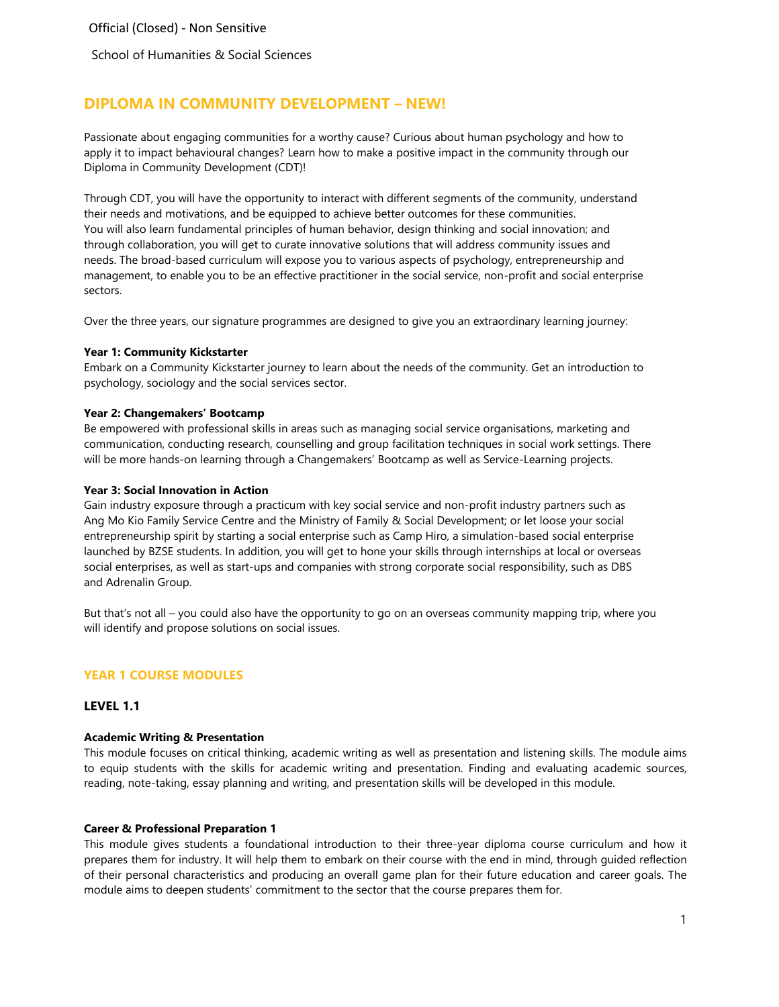School of Humanities & Social Sciences

# **DIPLOMA IN COMMUNITY DEVELOPMENT – NEW!**

Passionate about engaging communities for a worthy cause? Curious about human psychology and how to apply it to impact behavioural changes? Learn how to make a positive impact in the community through our Diploma in Community Development (CDT)!

Through CDT, you will have the opportunity to interact with different segments of the community, understand their needs and motivations, and be equipped to achieve better outcomes for these communities. You will also learn fundamental principles of human behavior, design thinking and social innovation; and through collaboration, you will get to curate innovative solutions that will address community issues and needs. The broad-based curriculum will expose you to various aspects of psychology, entrepreneurship and management, to enable you to be an effective practitioner in the social service, non-profit and social enterprise sectors.

Over the three years, our signature programmes are designed to give you an extraordinary learning journey:

#### **Year 1: Community Kickstarter**

Embark on a Community Kickstarter journey to learn about the needs of the community. Get an introduction to psychology, sociology and the social services sector.

#### **Year 2: Changemakers' Bootcamp**

Be empowered with professional skills in areas such as managing social service organisations, marketing and communication, conducting research, counselling and group facilitation techniques in social work settings. There will be more hands-on learning through a Changemakers' Bootcamp as well as Service-Learning projects.

#### **Year 3: Social Innovation in Action**

Gain industry exposure through a practicum with key social service and non-profit industry partners such as Ang Mo Kio Family Service Centre and the Ministry of Family & Social Development; or let loose your social entrepreneurship spirit by starting a social enterprise such as Camp Hiro, a simulation-based social enterprise launched by BZSE students. In addition, you will get to hone your skills through internships at local or overseas social enterprises, as well as start-ups and companies with strong corporate social responsibility, such as DBS and Adrenalin Group.

But that's not all – you could also have the opportunity to go on an overseas community mapping trip, where you will identify and propose solutions on social issues.

## **YEAR 1 COURSE MODULES**

# **LEVEL 1.1**

#### **Academic Writing & Presentation**

This module focuses on critical thinking, academic writing as well as presentation and listening skills. The module aims to equip students with the skills for academic writing and presentation. Finding and evaluating academic sources, reading, note-taking, essay planning and writing, and presentation skills will be developed in this module.

#### **Career & Professional Preparation 1**

This module gives students a foundational introduction to their three-year diploma course curriculum and how it prepares them for industry. It will help them to embark on their course with the end in mind, through guided reflection of their personal characteristics and producing an overall game plan for their future education and career goals. The module aims to deepen students' commitment to the sector that the course prepares them for.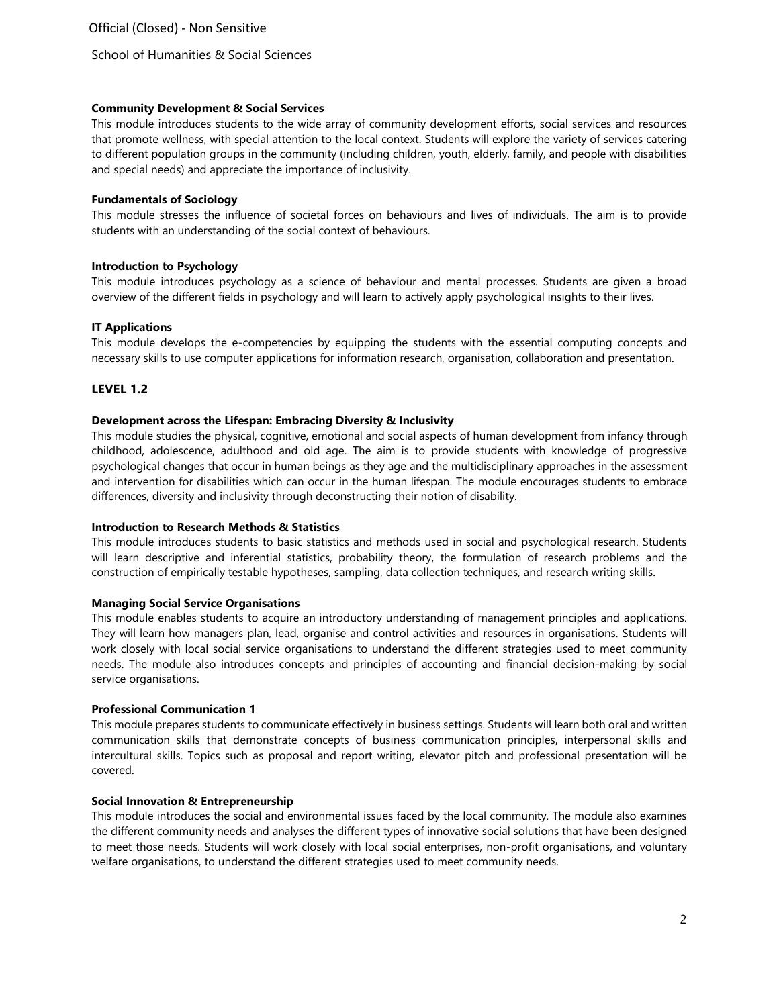School of Humanities & Social Sciences

### **Community Development & Social Services**

This module introduces students to the wide array of community development efforts, social services and resources that promote wellness, with special attention to the local context. Students will explore the variety of services catering to different population groups in the community (including children, youth, elderly, family, and people with disabilities and special needs) and appreciate the importance of inclusivity.

#### **Fundamentals of Sociology**

This module stresses the influence of societal forces on behaviours and lives of individuals. The aim is to provide students with an understanding of the social context of behaviours.

### **Introduction to Psychology**

This module introduces psychology as a science of behaviour and mental processes. Students are given a broad overview of the different fields in psychology and will learn to actively apply psychological insights to their lives.

### **IT Applications**

This module develops the e-competencies by equipping the students with the essential computing concepts and necessary skills to use computer applications for information research, organisation, collaboration and presentation.

## **LEVEL 1.2**

#### **Development across the Lifespan: Embracing Diversity & Inclusivity**

This module studies the physical, cognitive, emotional and social aspects of human development from infancy through childhood, adolescence, adulthood and old age. The aim is to provide students with knowledge of progressive psychological changes that occur in human beings as they age and the multidisciplinary approaches in the assessment and intervention for disabilities which can occur in the human lifespan. The module encourages students to embrace differences, diversity and inclusivity through deconstructing their notion of disability.

### **Introduction to Research Methods & Statistics**

This module introduces students to basic statistics and methods used in social and psychological research. Students will learn descriptive and inferential statistics, probability theory, the formulation of research problems and the construction of empirically testable hypotheses, sampling, data collection techniques, and research writing skills.

### **Managing Social Service Organisations**

This module enables students to acquire an introductory understanding of management principles and applications. They will learn how managers plan, lead, organise and control activities and resources in organisations. Students will work closely with local social service organisations to understand the different strategies used to meet community needs. The module also introduces concepts and principles of accounting and financial decision-making by social service organisations.

### **Professional Communication 1**

This module prepares students to communicate effectively in business settings. Students will learn both oral and written communication skills that demonstrate concepts of business communication principles, interpersonal skills and intercultural skills. Topics such as proposal and report writing, elevator pitch and professional presentation will be covered.

### **Social Innovation & Entrepreneurship**

This module introduces the social and environmental issues faced by the local community. The module also examines the different community needs and analyses the different types of innovative social solutions that have been designed to meet those needs. Students will work closely with local social enterprises, non-profit organisations, and voluntary welfare organisations, to understand the different strategies used to meet community needs.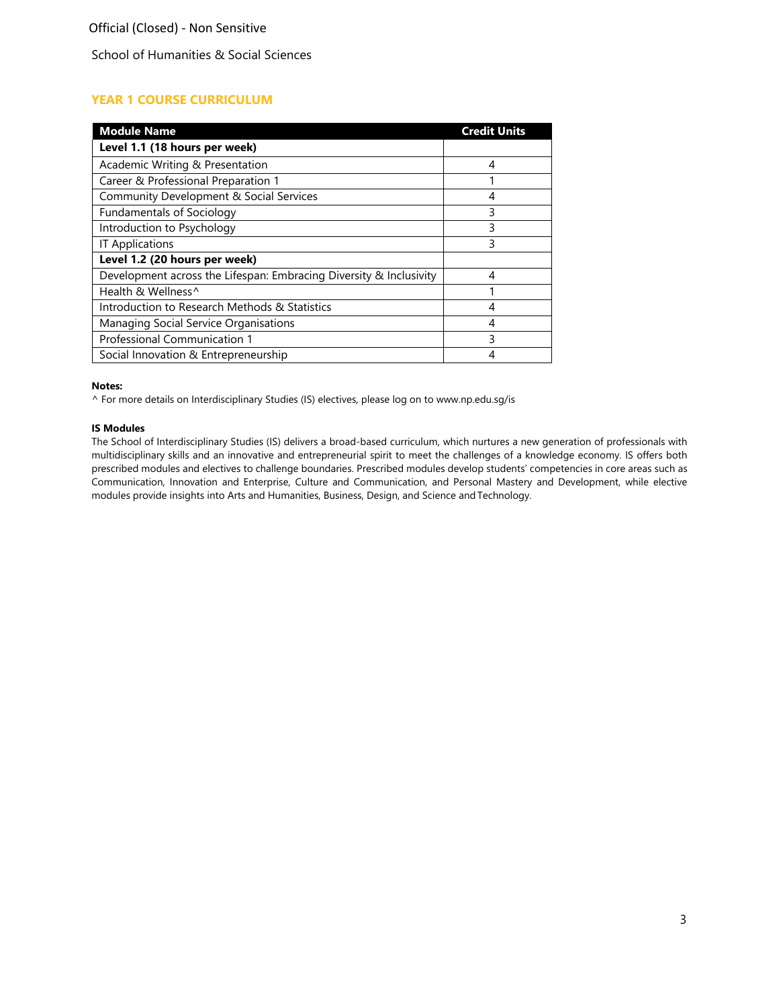## School of Humanities & Social Sciences

# **YEAR 1 COURSE CURRICULUM**

| <b>Module Name</b>                                                 | <b>Credit Units</b> |
|--------------------------------------------------------------------|---------------------|
| Level 1.1 (18 hours per week)                                      |                     |
| Academic Writing & Presentation                                    | 4                   |
| Career & Professional Preparation 1                                |                     |
| Community Development & Social Services                            | 4                   |
| <b>Fundamentals of Sociology</b>                                   | 3                   |
| Introduction to Psychology                                         | 3                   |
| <b>IT Applications</b>                                             | 3                   |
| Level 1.2 (20 hours per week)                                      |                     |
| Development across the Lifespan: Embracing Diversity & Inclusivity | 4                   |
| Health & Wellness^                                                 |                     |
| Introduction to Research Methods & Statistics                      |                     |
| Managing Social Service Organisations                              | 4                   |
| Professional Communication 1                                       | ς                   |
| Social Innovation & Entrepreneurship                               |                     |

### **Notes:**

^ For more details on Interdisciplinary Studies (IS) electives, please log on to [www.np.edu.sg/is](http://www.np.edu.sg/is)

#### **IS Modules**

The School of Interdisciplinary Studies (IS) delivers a broad-based curriculum, which nurtures a new generation of professionals with multidisciplinary skills and an innovative and entrepreneurial spirit to meet the challenges of a knowledge economy. IS offers both prescribed modules and electives to challenge boundaries. Prescribed modules develop students' competencies in core areas such as Communication, Innovation and Enterprise, Culture and Communication, and Personal Mastery and Development, while elective modules provide insights into Arts and Humanities, Business, Design, and Science andTechnology.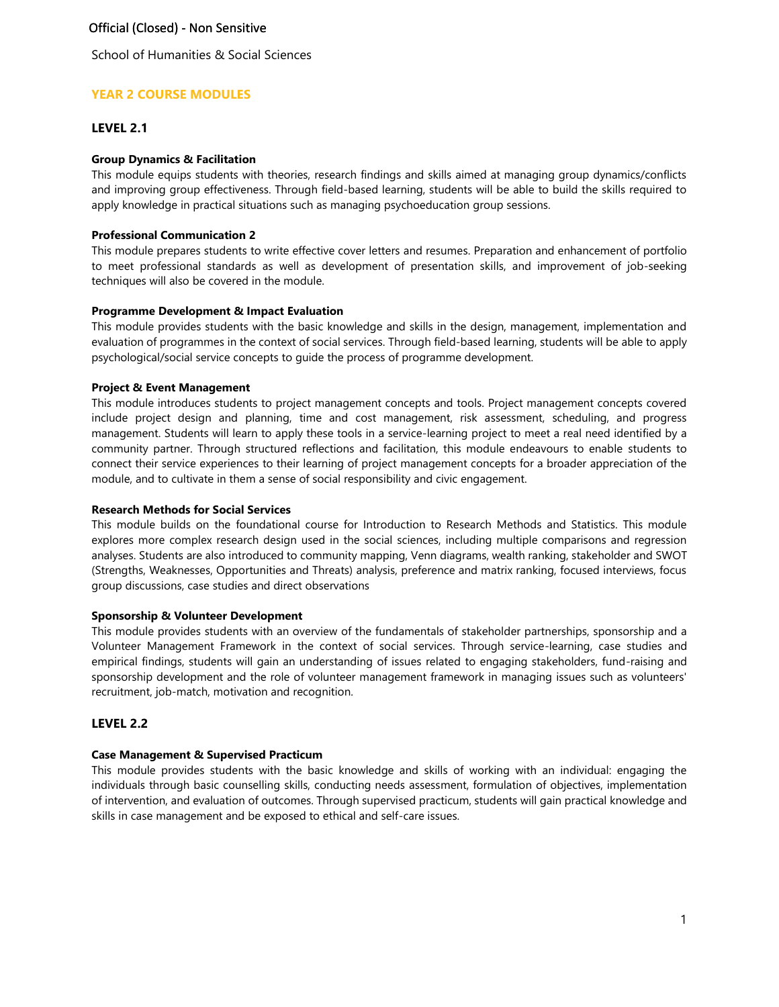School of Humanities & Social Sciences

## **YEAR 2 COURSE MODULES**

## **LEVEL 2.1**

### **Group Dynamics & Facilitation**

This module equips students with theories, research findings and skills aimed at managing group dynamics/conflicts and improving group effectiveness. Through field-based learning, students will be able to build the skills required to apply knowledge in practical situations such as managing psychoeducation group sessions.

### **Professional Communication 2**

This module prepares students to write effective cover letters and resumes. Preparation and enhancement of portfolio to meet professional standards as well as development of presentation skills, and improvement of job-seeking techniques will also be covered in the module.

### **Programme Development & Impact Evaluation**

This module provides students with the basic knowledge and skills in the design, management, implementation and evaluation of programmes in the context of social services. Through field-based learning, students will be able to apply psychological/social service concepts to guide the process of programme development.

## **Project & Event Management**

This module introduces students to project management concepts and tools. Project management concepts covered include project design and planning, time and cost management, risk assessment, scheduling, and progress management. Students will learn to apply these tools in a service-learning project to meet a real need identified by a community partner. Through structured reflections and facilitation, this module endeavours to enable students to connect their service experiences to their learning of project management concepts for a broader appreciation of the module, and to cultivate in them a sense of social responsibility and civic engagement.

### **Research Methods for Social Services**

This module builds on the foundational course for Introduction to Research Methods and Statistics. This module explores more complex research design used in the social sciences, including multiple comparisons and regression analyses. Students are also introduced to community mapping, Venn diagrams, wealth ranking, stakeholder and SWOT (Strengths, Weaknesses, Opportunities and Threats) analysis, preference and matrix ranking, focused interviews, focus group discussions, case studies and direct observations

### **Sponsorship & Volunteer Development**

This module provides students with an overview of the fundamentals of stakeholder partnerships, sponsorship and a Volunteer Management Framework in the context of social services. Through service-learning, case studies and empirical findings, students will gain an understanding of issues related to engaging stakeholders, fund-raising and sponsorship development and the role of volunteer management framework in managing issues such as volunteers' recruitment, job-match, motivation and recognition.

## **LEVEL 2.2**

# **Case Management & Supervised Practicum**

This module provides students with the basic knowledge and skills of working with an individual: engaging the individuals through basic counselling skills, conducting needs assessment, formulation of objectives, implementation of intervention, and evaluation of outcomes. Through supervised practicum, students will gain practical knowledge and skills in case management and be exposed to ethical and self-care issues.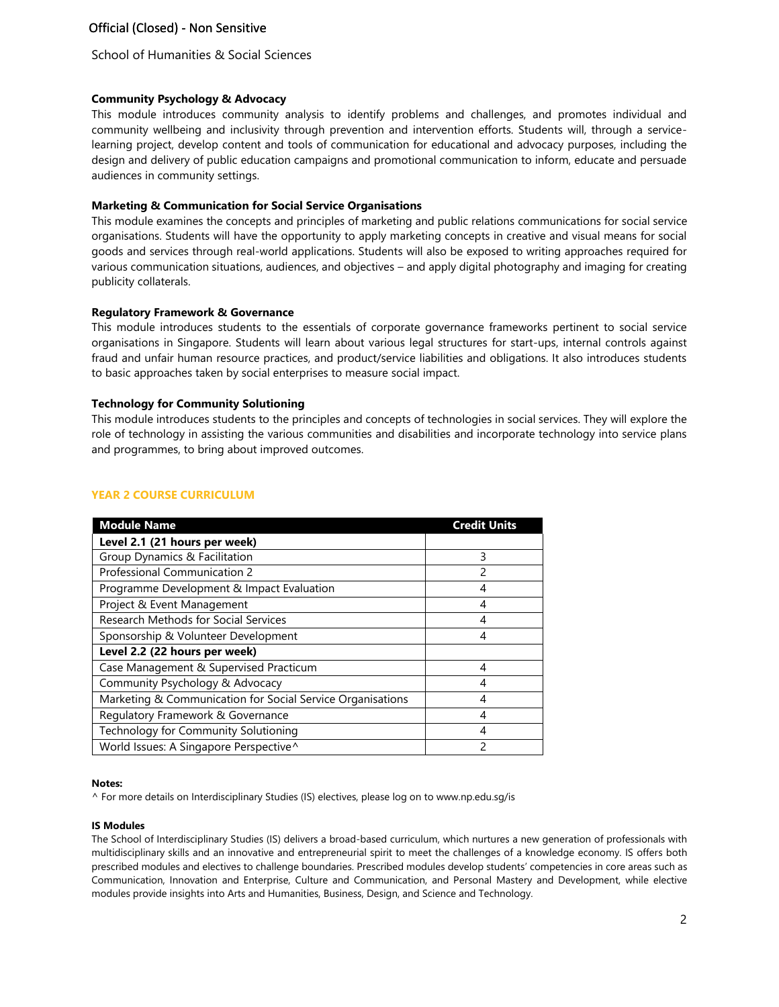School of Humanities & Social Sciences

### **Community Psychology & Advocacy**

This module introduces community analysis to identify problems and challenges, and promotes individual and community wellbeing and inclusivity through prevention and intervention efforts. Students will, through a servicelearning project, develop content and tools of communication for educational and advocacy purposes, including the design and delivery of public education campaigns and promotional communication to inform, educate and persuade audiences in community settings.

#### **Marketing & Communication for Social Service Organisations**

This module examines the concepts and principles of marketing and public relations communications for social service organisations. Students will have the opportunity to apply marketing concepts in creative and visual means for social goods and services through real-world applications. Students will also be exposed to writing approaches required for various communication situations, audiences, and objectives – and apply digital photography and imaging for creating publicity collaterals.

#### **Regulatory Framework & Governance**

This module introduces students to the essentials of corporate governance frameworks pertinent to social service organisations in Singapore. Students will learn about various legal structures for start-ups, internal controls against fraud and unfair human resource practices, and product/service liabilities and obligations. It also introduces students to basic approaches taken by social enterprises to measure social impact.

#### **Technology for Community Solutioning**

This module introduces students to the principles and concepts of technologies in social services. They will explore the role of technology in assisting the various communities and disabilities and incorporate technology into service plans and programmes, to bring about improved outcomes.

### **YEAR 2 COURSE CURRICULUM**

| <b>Module Name</b>                                         | <b>Credit Units</b> |
|------------------------------------------------------------|---------------------|
| Level 2.1 (21 hours per week)                              |                     |
| Group Dynamics & Facilitation                              | 3                   |
| Professional Communication 2                               | 2                   |
| Programme Development & Impact Evaluation                  |                     |
| Project & Event Management                                 | 4                   |
| Research Methods for Social Services                       |                     |
| Sponsorship & Volunteer Development                        | 4                   |
| Level 2.2 (22 hours per week)                              |                     |
| Case Management & Supervised Practicum                     | 4                   |
| Community Psychology & Advocacy                            | 4                   |
| Marketing & Communication for Social Service Organisations | 4                   |
| Regulatory Framework & Governance                          | 4                   |
| Technology for Community Solutioning                       | 4                   |
| World Issues: A Singapore Perspective^                     | 2                   |

#### **Notes:**

^ For more details on Interdisciplinary Studies (IS) electives, please log on to [www.np.edu.sg/is](http://www.np.edu.sg/is)

#### **IS Modules**

The School of Interdisciplinary Studies (IS) delivers a broad-based curriculum, which nurtures a new generation of professionals with multidisciplinary skills and an innovative and entrepreneurial spirit to meet the challenges of a knowledge economy. IS offers both prescribed modules and electives to challenge boundaries. Prescribed modules develop students' competencies in core areas such as Communication, Innovation and Enterprise, Culture and Communication, and Personal Mastery and Development, while elective modules provide insights into Arts and Humanities, Business, Design, and Science and Technology.